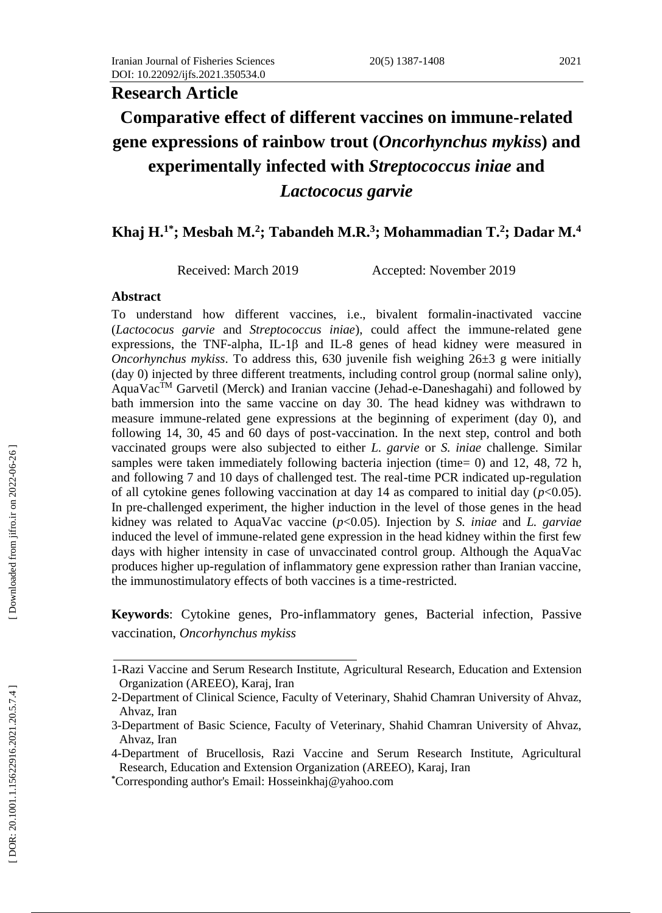#### 2021

# **Research Article** Comparative effect of different vaccines on immune-related **gene expressions of rainbow trout (***Oncorhynchus mykis***s) and experimentally infected with** *Streptococcus iniae* **and**  *Lactococus garvie*

# **Khaj H.1\*; Mesbah M. 2 ; Tabandeh M.R. 3 ; Mohammadian T. 2 ; Dadar M. 4**

Received: March 2019 Accepted: November 2019

#### **Abstract**

To understand how different vaccines, i.e., bivalent formalin -inactivated vaccine (*Lactococus garvie* and *Streptococcus iniae* ) , could affect the immune -related gene expressions, the TNF-alpha, IL-1 $\beta$  and IL-8 genes of head kidney were measured in *Oncorhynchus mykiss*. To address this, 630 juvenile fish weighing 26±3 g were initially (day 0) injected by three different treatments, including control group (normal saline only), AquaVac<sup>™</sup> Garvetil (Merck) and Iranian vaccine (Jehad-e-Daneshagahi) and followed by bath immersion into the same vaccine on day 30. The head kidney was withdrawn to measure immune -related gene expressions at the beginning of experiment (day 0), and following 14, 30, 45 and 60 days of post -vaccination. In the next step, control and both vaccinated groups were also subjected to either *L. garvie* or *S. iniae* challenge *.* Similar samples were taken immediately following bacteria injection (time= 0) and 12, 48, 72 h, and following 7 and 10 days of challenged test. The real -time PCR indicated up -regulation of all cytokine genes following vaccination at day  $14$  as compared to initial day ( $p<0.05$ ). In pre -challenged experiment, the higher induction in the level of those genes in the head kidney was related to AquaVac vaccine (*p*<0.05). Injection by *S. iniae* and *L. garviae* induced the level of immune -related gene expression in the head kidney within the first few days with higher intensity in case of unvaccinated control group. Although the AquaVac produces higher up -regulation of inflammatory gene expression rather than Iranian vaccine, the immunostimulatory effects of both vaccines is a time -restricted.

**Keywords**: Cytokine genes, Pro -inflammatory genes, Bacterial infection, Passive vaccination, *Oncorhynchus mykiss*

<sup>1-</sup>Razi Vaccine and Serum Research Institute, Agricultural Research , Education and Extension Organization (AREEO ), Karaj, Iran

<sup>2</sup> -Department of Clinical Science, Faculty of Veterinary, Shahid Chamran University of Ahvaz, Ahvaz, Iran

<sup>3</sup> -Department of Basic Science, Faculty of Veterinary, Shahid Chamran University of Ahvaz, Ahvaz, Iran

<sup>4</sup> -Department of Brucellosis, Razi Vaccine and Serum Research Institute, Agricultural Research, Education and Extension Organization (AREEO), Karaj, Iran

**<sup>\*</sup>**Corresponding author's Email: Hosseinkhaj@yahoo.com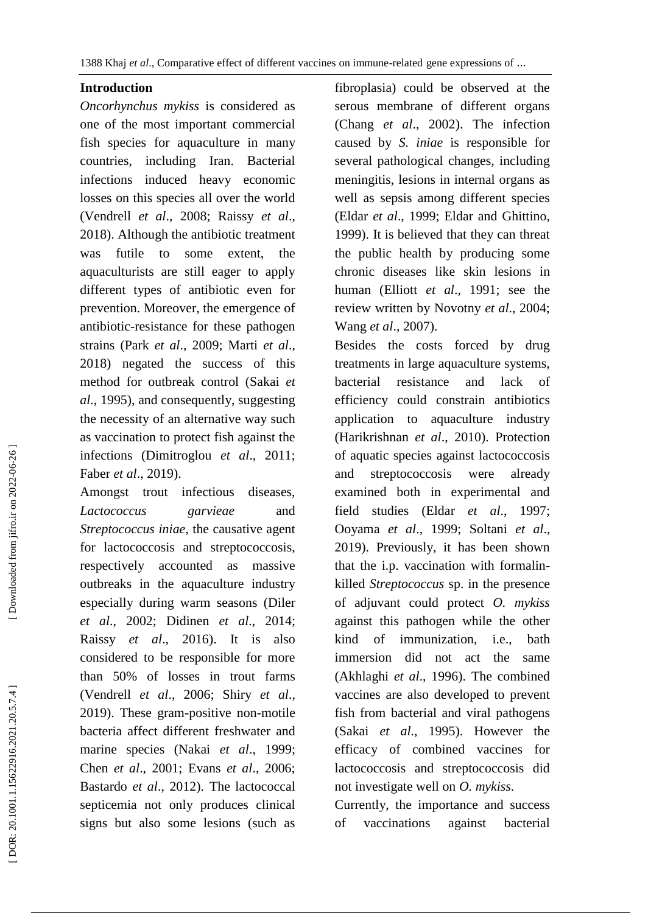### **Introduction**

*Oncorhynchus mykiss* is considered as one of the most important commercial fish species for aquaculture in many countries, including Iran. Bacterial infections induced heavy economic losses on this species all over the world (Vendrell *et al*., 2008; Raissy *et al*., 2018). Although the antibiotic treatment was futile to some extent, aquaculturists are still eager to apply different types of antibiotic even for prevention. Moreover, the emergence of antibiotic -resistance for these pathogen strains (Park *et al*., 2009; Marti *et al*., 2018) negated the success of this method for outbreak control (Sakai *et al*., 1995), and consequently, suggesting the necessity of an alternative way such as vaccination to protect fish against the infections (Dimitroglou *et al*., 2011; Faber *et al*., 2019).

Amongst trout infectious diseases, *Lactococcus garvieae* and *Streptococcus iniae*, the causative agent for lactococcosis and streptococcosis, respectively accounted as massive outbreaks in the aquaculture industry especially during warm seasons (Diler *et al*., 2002; Didinen *et al*., 2014 ; Raissy *et al*., 2016). It is also considered to be responsible for more than 50% of losses in trout farms (Vendrell *et al*., 2006; Shiry *et al*., 2019). These gram -positive non -motile bacteria affect different freshwater and marine species (Nakai *et al*., 1999; Chen *et al*., 2001; Evans *et al*., 2006; Bastardo *et al*., 2012). The lactococcal septicemia not only produces clinical signs but also some lesions (such as

fibroplasia) could be observed at the serous membrane of different organs (Chang *et al*., 2002). The infection caused by *S. iniae* is responsible for several pathological changes, including meningitis, lesions in internal organs as well as sepsis among different species (Eldar *et al*., 1999; Eldar and Ghittino, 1999). It is believed that they can threat the public health by producing some chronic diseases like skin lesions in human (Elliott *et al*., 1991; see the review written by Novotny *et al*., 2004; Wang *et al*., 2007) .

Besides the costs forced by drug treatments in large aquaculture systems, bacterial resistance and lack of efficiency could constrain antibiotics application to aquaculture industry (Harikrishnan *et al*., 2010). Protection of aquatic species against lactococcosis and streptococcosis were already examined both in experimental and field studies (Eldar *et al*., 1997; Ooyama *et al*., 1999; Soltani *et al*., 2019). Previously, it has been shown that the i.p. vaccination with formalin killed *Streptococcus* sp. in the presence of adjuvant could protect *O. mykiss* against this pathogen while the other kind of immunization, i.e., bath immersion did not act the same (Akhlaghi *et al*., 1996). The combined vaccines are also developed to prevent fish from bacterial and viral pathogens (Sakai *et al*., 1995). However the efficacy of combined vaccines for lactococcosis and streptococcosis did not investigate well on *O. mykiss* .

Currently, the importance and success of vaccinations against bacterial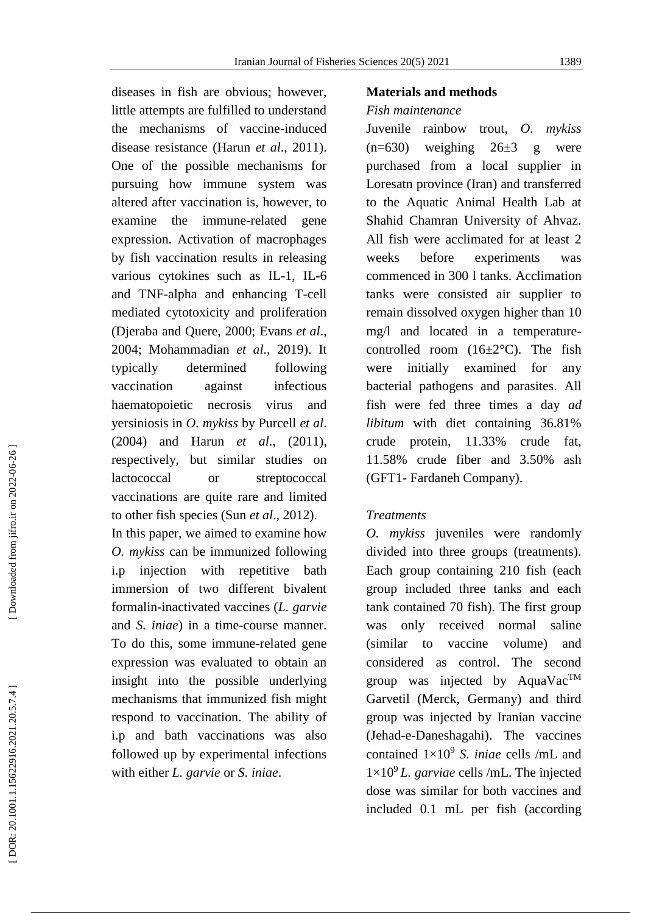diseases in fish are obvious; however, little attempts are fulfilled to understand the mechanisms of vaccine -induced disease resistance (Harun *et al*., 2011). One of the possible mechanisms for pursuing how immune system was altered after vaccination is, however, to examine the immune -related gene expression. Activation of macrophages by fish vaccination results in releasing various cytokines such as IL-1, IL-6 and TNF -alpha and enhancing T -cell mediated cytotoxicity and proliferation (Djeraba and Quere, 2000; Evans *et al*., 2004; Mohammadian *et al*., 2019). It typically determined following vaccination against infectious haematopoietic necrosis virus and yersiniosis in *O. mykiss* by Purcell *et al*. (2004) and Harun *et al*., (2011), respectively, but similar studies on lactococcal or streptococcal vaccinations are quite rare and limited to other fish species (Sun *et al*., 2012). In this paper, we aimed to examine how *O. mykiss* can be immunized following i.p injection with repetitive bath immersion of two different bivalent formalin -inactivated vaccines (*L. garvie* and *S. iniae*) in a time -course manner. To do this, some immune -related gene expression was evaluated to obtain an insight into the possible underlying mechanisms that immunized fish might respond to vaccination. The ability of i.p and bath vaccinations was also followed up by experimental infections with either *L. garvie* or *S. iniae* .

### **Materials and methods**

### *Fish maintenance*

Juvenile rainbow trout, *O. mykiss*  $(n=630)$  weighing  $26\pm3$  g were purchased from a local supplier in Loresatn province (Iran) and transferred to the Aquatic Animal Health Lab at Shahid Chamran University of Ahvaz. All fish were acclimated for at least 2 weeks before experiments was commenced in 300 l tanks. Acclimation tanks were consisted air supplier to remain dissolved oxygen higher than 10 mg/l and located in a temperature controlled room  $(16\pm2\degree C)$ . The fish were initially examined for any bacterial pathogens and parasites. All fish were fed three times a day *ad libitum* with diet containing 36.81% crude protein, 11.33% crude fat, 11.58% crude fiber and 3.50% ash (GFT1 - Fardaneh Company).

### *Treatments*

*O. mykiss* juveniles were randomly divided into three groups (treatments). Each group containing 210 fish (each group included three tanks and each tank contained 70 fish). The first group was only received normal saline (similar to vaccine volume) and considered as control. The second group was injected by AquaVac<sup>TM</sup> Garvetil (Merck, Germany) and third group was injected by Iranian vaccine (Jehad - e -Daneshagahi). The vaccines contained  $1 \times 10^9$  *S. iniae* cells /mL and  $1\times10^9$  *L. garviae* cells /mL. The injected dose was similar for both vaccines and included 0.1 mL per fish (according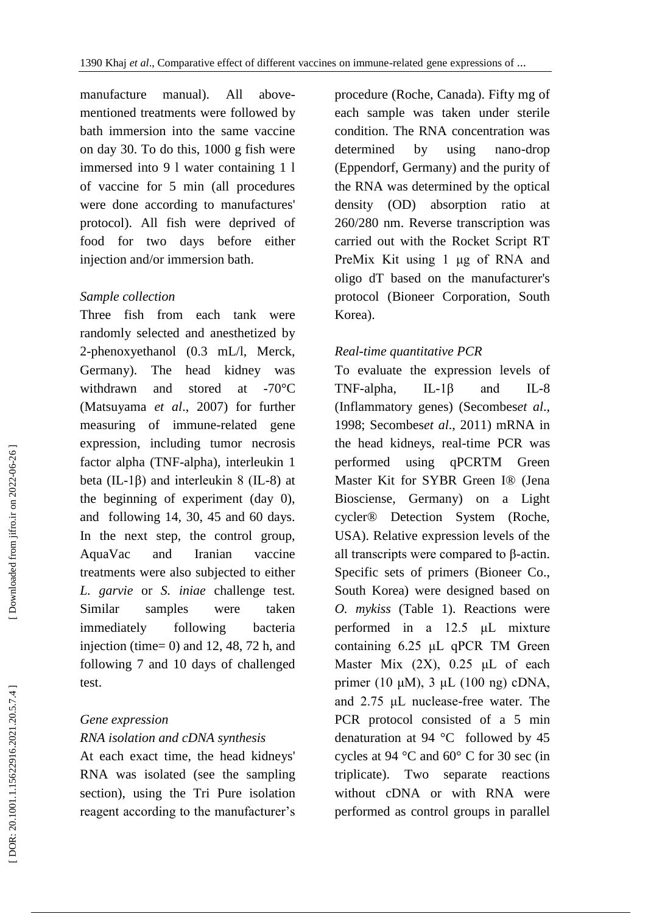manufacture manual). All abovementioned treatments were followed by bath immersion into the same vaccine on day 30. To do this, 1000 g fish were immersed into 9 l water containing 1 l of vaccine for 5 min (all procedures were done according to manufactures' protocol). All fish were deprived of food for two days before either injection and/or immersion bath.

## *Sample collection*

Three fish from each tank were randomly selected and anesthetized by 2-phenoxyethanol (0.3 mL/l, Merck, Germany). The head kidney was withdrawn and stored at  $-70^{\circ}$ C (Matsuyama *et al*., 2007) for further measuring of immune -related gene expression, including [tumor necrosis](https://en.wikipedia.org/wiki/Tumor_necrosis_factor_alpha)  [factor alpha](https://en.wikipedia.org/wiki/Tumor_necrosis_factor_alpha) (TNF -alpha), interleukin 1 beta (IL-1β) and interleukin 8 (IL-8) at the beginning of experiment (day 0), and following 14, 30, 45 and 60 days. In the next step, the control group, AquaVac and Iranian vaccine treatments were also subjected to either *L. garvie* or *S. iniae* challenge test *.* Similar samples were taken immediately following bacteria injection (time=  $0$ ) and 12, 48, 72 h, and following 7 and 10 days of challenged test.

# *Gene expression RNA isolation and cDNA synthesis*

At each exact time, the head kidneys' RNA was isolated (see the sampling section), using the Tri Pure isolation reagent according to the manufacturer's procedure (Roche, Canada). Fifty mg of each sample was taken under sterile condition. The RNA concentration was determined by using nano-drop (Eppendorf, Germany) and the purity of the RNA was determined by the optical density (OD) absorption ratio at 260/280 nm. Reverse transcription was carried out with the Rocket Script RT PreMix Kit using 1 μg of RNA and oligo dT based on the manufacturer's protocol (Bioneer Corporation, South Korea).

# *Real -time quantitative PCR*

To evaluate the expression levels of TNF -alpha, IL  $IL-1\beta$  and  $IL-8$ (Inflammatory genes) (Secombes*et al*., 1998; Secombes*et al*., 2011) mRNA in the head kidneys, real -time PCR was performed using qPCRTM Green Master Kit for SYBR Green I® (Jena Biosciense, Germany) on a Light cycler® Detection System (Roche, USA). Relative expression levels of the all transcripts were compared to β -actin. Specific sets of primers (Bioneer Co., South Korea) were designed based on *O. mykiss* (Table 1). Reactions were performed in a 12.5 μL mixture containing 6.25 μL qPCR TM Green Master Mix  $(2X)$ , 0.25  $\mu$ L of each primer (10 μM), 3 μL (100 ng) cDNA, and 2.75 μL nuclease -free water. The PCR protocol consisted of a 5 min denaturation at 94 °C followed by 45 cycles at 94 °C and 60° C for 30 sec (in triplicate). Two separate reactions without cDNA or with RNA were performed as control groups in parallel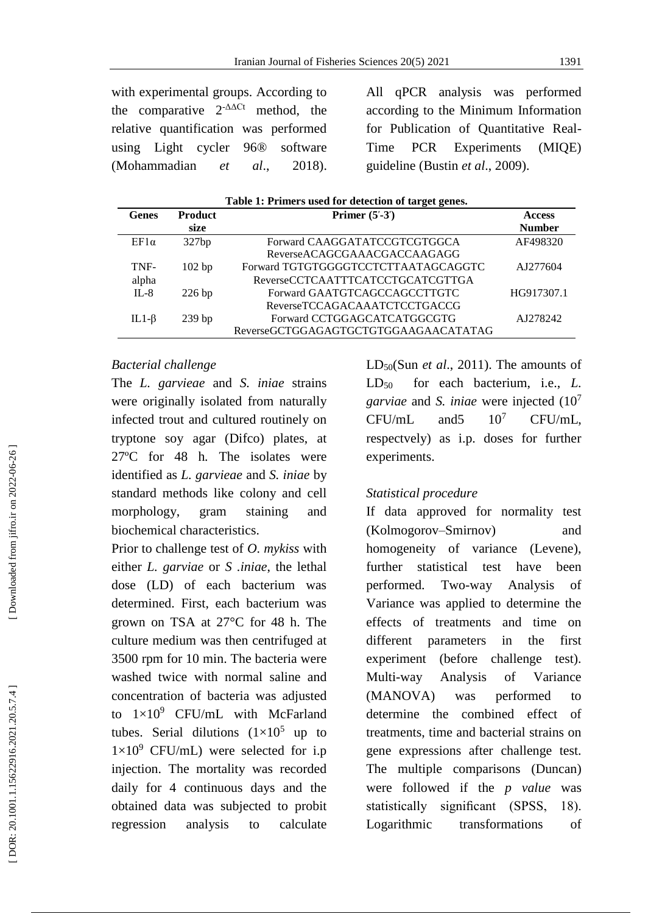with experimental groups. According to the comparative  $2^{-\Delta\Delta Ct}$  method, the relative quantification was performed using Light cycler 96® software (Mohammadian *et al.*, 2018).

All qPCR analysis was performed according to the Minimum Information for Publication of Quantitative Real - Time PCR Experiments (MIQE) guideline (Bustin *et al*., 2009) .

| Table 1: Primers used for detection of target genes. |                        |                                      |                                |  |  |  |
|------------------------------------------------------|------------------------|--------------------------------------|--------------------------------|--|--|--|
| <b>Genes</b>                                         | <b>Product</b><br>size | Primer $(5' - 3')$                   | <b>Access</b><br><b>Number</b> |  |  |  |
|                                                      |                        |                                      |                                |  |  |  |
| $EF1\alpha$                                          | 327bp                  | Forward CAAGGATATCCGTCGTGGCA         | AF498320                       |  |  |  |
|                                                      |                        | ReverseACAGCGAAACGACCAAGAGG          |                                |  |  |  |
| TNF-                                                 | $102$ bp               | Forward TGTGTGGGGTCCTCTTAATAGCAGGTC  | AJ277604                       |  |  |  |
| alpha                                                |                        | ReverseCCTCAATTTCATCCTGCATCGTTGA     |                                |  |  |  |
| $IL-8$                                               | $226$ bp               | Forward GAATGTCAGCCAGCCTTGTC         | HG917307.1                     |  |  |  |
|                                                      |                        | ReverseTCCAGACAAATCTCCTGACCG         |                                |  |  |  |
| IL1- $\beta$                                         | $239$ bp               | Forward CCTGGAGCATCATGGCGTG          | AJ278242                       |  |  |  |
|                                                      |                        | ReverseGCTGGAGAGTGCTGTGGAAGAACATATAG |                                |  |  |  |

### *Bacterial challenge*

The *L. garvieae* and *S. iniae* strains were originally isolated from naturally infected trout and cultured routinely on tryptone soy agar (Difco) plates, at 27ºC for 48 h *.* The isolates were identified as *L. garvieae* and *S. iniae* by standard methods like colony and cell morphology, gram staining and biochemical characteristics.

Prior to challenge test of *O. mykiss* with either *L. garviae* or *S .iniae*, the lethal dose (LD) of each bacterium was determined. First, each bacterium was grown on TSA at 27°C for 48 h. The culture medium was then centrifuged at 3500 rpm for 10 min. The bacteria were washed twice with normal saline and concentration of bacteria was adjusted to  $1 \times 10^9$  CFU/mL with McFarland tubes. Serial dilutions  $(1\times10^5$  up to  $1\times10^9$  CFU/mL) were selected for i.p injection. The mortality was recorded daily for 4 continuous days and the obtained data was subjected to probit regression analysis to calculate

LD50(Sun *et al*., 2011). The amounts of LD50 for each bacterium, i.e., *L. garviae* and *S. iniae* were injected (10 7  $CFU/mL$  and  $5 \t 10^7$ CFU/mL, respectvely) as i.p. doses for further experiments.

### *Statistical procedure*

If data approved for normality test (Kolmogorov –Smirnov) and homogeneity of variance (Levene), further statistical test have been performed. Two -way Analysis of Variance was applied to determine the effects of treatments and time on different parameters in the first experiment (before challenge test). Multi-way Analysis of Variance (MANOVA) was performed to determine the combined effect of treatments, time and bacterial strains on gene expressions after challenge test. The multiple comparisons (Duncan) were followed if the *p value* was statistically significant (SPSS, 18). Logarithmic transformations of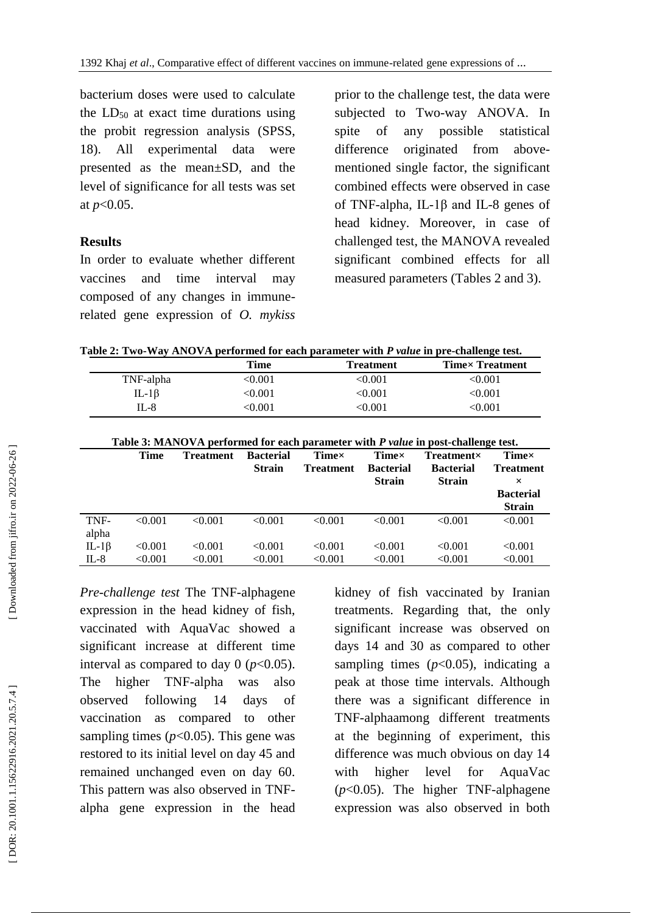bacterium doses were used to calculate the  $LD_{50}$  at exact time durations using the probit regression analysis (SPSS, 18). All experimental data were presented as the mean±SD, and the level of significance for all tests was set at *p*<0.05.

### **Results**

In order to evaluate whether different vaccines and time interval may composed of any changes in immune related gene expression of *O. mykiss* prior to the challenge test, the data were subjected to Two -way ANOVA. In spite of any possible statistical difference originated from above mentioned single factor, the significant combined effects were observed in case of TNF-alpha, IL-1 $\beta$  and IL-8 genes of head kidney. Moreover, in case of challenged test, the MANOVA revealed significant combined effects for all measured parameters (Tables 2 and 3).

**Table 2: Two -Way ANOVA performed for each parameter with** *P value* **in pre -challenge test.**

|              | Time         | <b>Treatment</b> | <b>Timex Treatment</b> |
|--------------|--------------|------------------|------------------------|
| TNF-alpha    | < 0.001      | <0.001           | <0.001                 |
| IL-1 $\beta$ | $<\!\!0.001$ | <0.001           | $<\!\!0.001$           |
| II –8        | <0.001       | <0.001           | <0.001                 |

| Table 3: MANOVA performed for each parameter with P value in post-challenge test. |  |  |
|-----------------------------------------------------------------------------------|--|--|
|                                                                                   |  |  |

|                        | <b>Time</b>        | <b>Treatment</b>   | <b>Bacterial</b><br><b>Strain</b> | <b>Time</b> ×<br><b>Treatment</b> | <b>Time</b> ×<br><b>Bacterial</b><br><b>Strain</b> | $Treatment \times$<br><b>Bacterial</b><br><b>Strain</b> | Timex<br><b>Treatment</b><br>×<br><b>Bacterial</b><br><b>Strain</b> |
|------------------------|--------------------|--------------------|-----------------------------------|-----------------------------------|----------------------------------------------------|---------------------------------------------------------|---------------------------------------------------------------------|
| TNF-<br>alpha          | < 0.001            | < 0.001            | < 0.001                           | < 0.001                           | < 0.001                                            | < 0.001                                                 | < 0.001                                                             |
| IL-1 $\beta$<br>$IL-8$ | < 0.001<br>< 0.001 | < 0.001<br>< 0.001 | < 0.001<br>< 0.001                | < 0.001<br>< 0.001                | < 0.001<br>< 0.001                                 | < 0.001<br>< 0.001                                      | < 0.001<br>< 0.001                                                  |

*Pre -challenge test* The TNF -alphagene expression in the head kidney of fish, vaccinated with AquaVac showed a significant increase at different time interval as compared to day  $0 \frac{(p<0.05)}{p}$ . The higher TNF-alpha was also observed following 14 days of vaccination as compared to other sampling times  $(p<0.05)$ . This gene was restored to its initial level on day 45 and remained unchanged even on day 60. This pattern was also observed in TNF alpha gene expression in the head

kidney of fish vaccinated by Iranian treatments. Regarding that, the only significant increase was observed on days 14 and 30 as compared to other sampling times  $(p<0.05)$ , indicating a peak at those time intervals. Although there was a significant difference in TNF -alphaamong different treatments at the beginning of experiment, this difference was much obvious on day 14 with higher level for AquaVac (*p*<0.05). The higher TNF-alphagene expression was also observed in both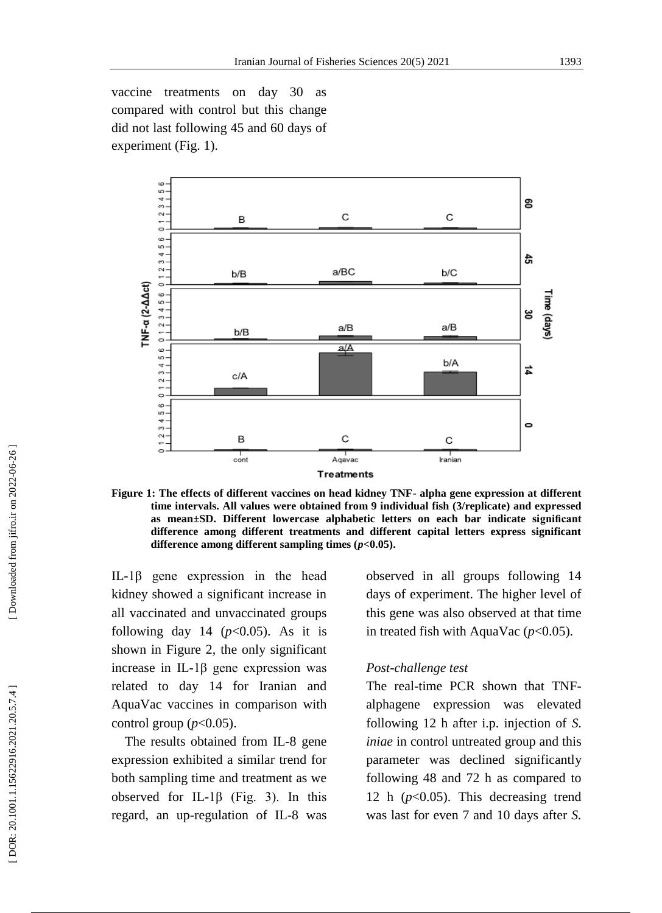vaccine treatments on day 30 as compared with control but this change did not last following 45 and 60 days of experiment (Fig. 1).



**Figure 1: The effects of different vaccines on head kidney TNF - alpha gene expression at different time intervals. All values were obtained from 9 individual fish (3/replicate) and expressed as mean±SD. Different lowercase alphabetic letters on each bar indicate significant difference among different treatments and different capital letters express significant difference among different sampling times (***p***<0.05).**

IL -1β gene expression in the head kidney showed a significant increase in all vaccinated and unvaccinated groups following day 14 ( $p<0.05$ ). As it is shown in Figure 2, the only significant increase in IL -1β gene expression was related to day 14 for Iranian and AquaVac vaccines in comparison with control group  $(p<0.05)$ .

 The results obtained from IL -8 gene expression exhibited a similar trend for both sampling time and treatment as we observed for IL-1 $\beta$  (Fig. 3). In this regard, an up -regulation of IL -8 was observed in all groups following 14 days of experiment. The higher level of this gene was also observed at that time in treated fish with AquaVac  $(p<0.05)$ .

### *Post -challenge test*

The real-time PCR shown that TNFalphagene expression was elevated following 12 h after i.p. injection of *S. iniae* in control untreated group and this parameter was declined significantly following 48 and 72 h as compared to 12 h (*p*<0.05). This decreasing trend was last for even 7 and 10 days after *S.*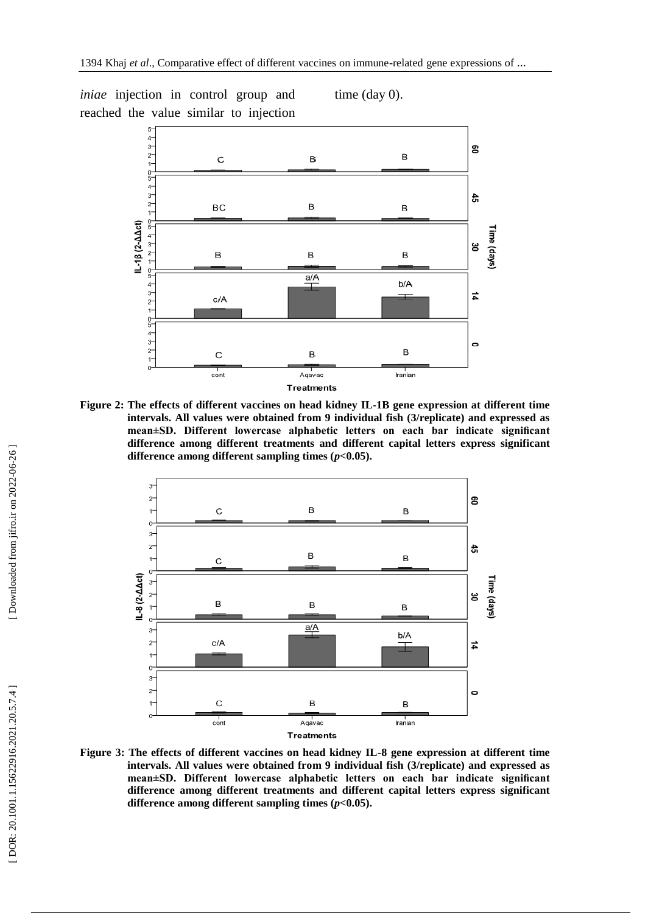*iniae* injection in control group and reached the value similar to injection time (day 0).



**Figure 2: The effects of different vaccines on head kidney IL -1B gene expression at different time intervals. All values were obtained from 9 individual fish (3/replicate) and expressed as mean±SD. Different lowercase alphabetic letters on each bar indicate significant difference among different treatments and different capital letters express significant difference among different sampling times (***p***<0.05).**



**Figure 3: The effects of different vaccines on head kidney IL -8 gene expression at different time intervals. All values were obtained from 9 individual fish (3/replicate) and expressed as mean±SD. Different lowercase alphabetic letters on each bar indicate significant difference among different treatments and different capital letters express significant difference among different sampling times (***p***<0.05).**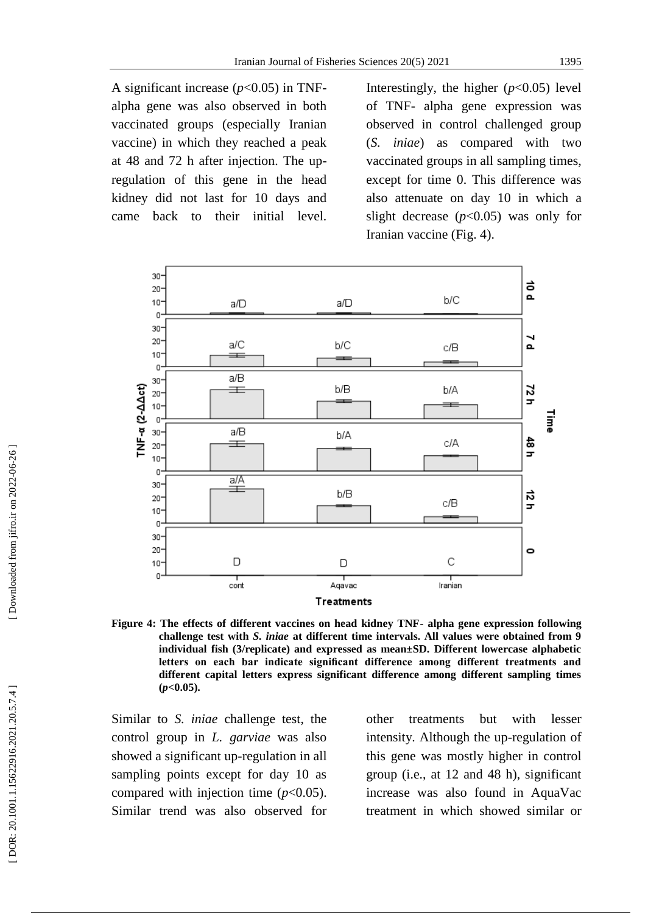A significant increase (*p*<0.05) in TNF alpha gene was also observed in both vaccinated groups (especially Iranian vaccine) in which they reached a peak at 48 and 72 h after injection. The up regulation of this gene in the head kidney did not last for 10 days and came back to their initial level. Interestingly, the higher  $(p<0.05)$  level of TNF - alpha gene expression was observed in control challenged group (*S. iniae*) as compared with two vaccinated groups in all sampling times, except for time 0. This difference was also attenuate on day 10 in which a slight decrease  $(p<0.05)$  was only for Iranian vaccine (Fig. 4).



**Figure 4: The effects of different vaccines on head kidney TNF - alpha gene expression following challenge test with** *S. iniae* **at different time intervals. All values were obtained from 9 individual fish (3/replicate) and expressed as mean±SD. Different lowercase alphabetic letters on each bar indicate significant difference among different treatments and different capital letters express significant difference among different sampling times (***p***<0.05).**

Similar to *S. iniae* challenge test, the control group in *L. garviae* was also showed a significant up -regulation in all sampling points except for day 10 as compared with injection time  $(p<0.05)$ . Similar trend was also observed for

other treatments but with lesser intensity. Although the up -regulation of this gene was mostly higher in control group (i.e., at 12 and 48 h), significant increase was also found in AquaVac treatment in which showed similar or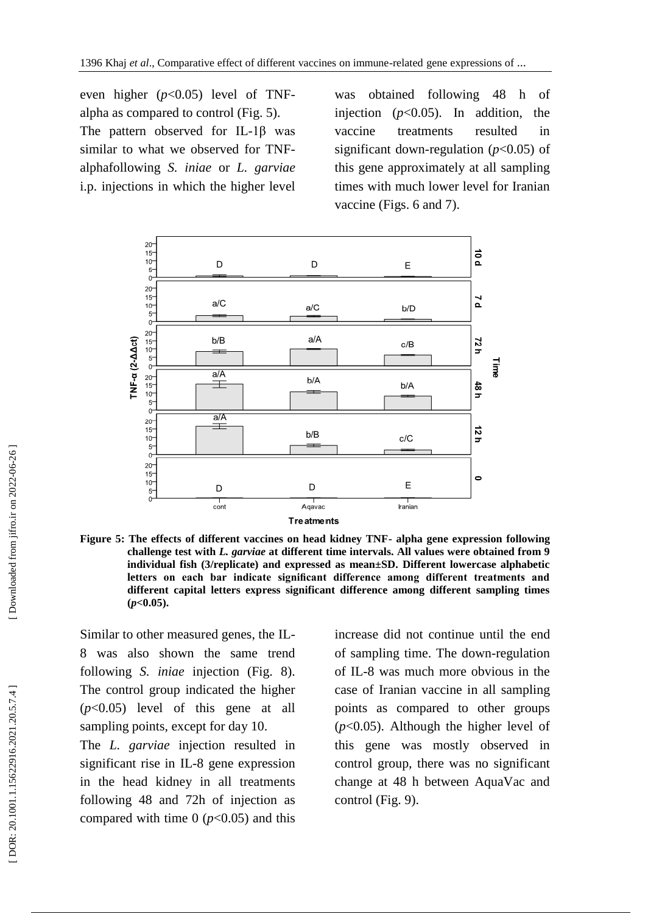even higher (*p*<0.05) level of TNF alpha as compared to control (Fig. 5). The pattern observed for IL-1 $\beta$  was similar to what we observed for TNF alphafollowing *S. iniae* or *L. garviae* i.p. injections in which the higher level

was obtained following 48 h of injection (*p*<0.05). In addition, the vaccine treatments resulted in significant down -regulation (*p*<0.05) of this gene approximately at all sampling times with much lower level for Iranian vaccine (Figs. 6 and 7).



**Figure 5: The effects of different vaccines on head kidney TNF - alpha gene expression following challenge test with** *L. garviae* **at different time intervals. All values were obtained from 9 individual fish (3/replicate) and expressed as mean±SD. Different lowercase alphabetic letters on each bar indicate significant difference among different treatments and different capital letters express significant difference among different sampling times (***p***<0.05).**

Similar to other measured genes, the IL - 8 was also shown the same trend following *S. iniae* injection (Fig. 8). The control group indicated the higher  $(p<0.05)$  level of this gene at all sampling points, except for day 10.

The *L. garviae* injection resulted in significant rise in IL -8 gene expression in the head kidney in all treatments following 48 and 72h of injection as compared with time  $0$  ( $p<0.05$ ) and this

increase did not continue until the end of sampling time. The down -regulation of IL -8 was much more obvious in the case of Iranian vaccine in all sampling points as compared to other groups  $(p<0.05)$ . Although the higher level of this gene was mostly observed in control group, there was no significant change at 48 h between AquaVac and control (Fig. 9).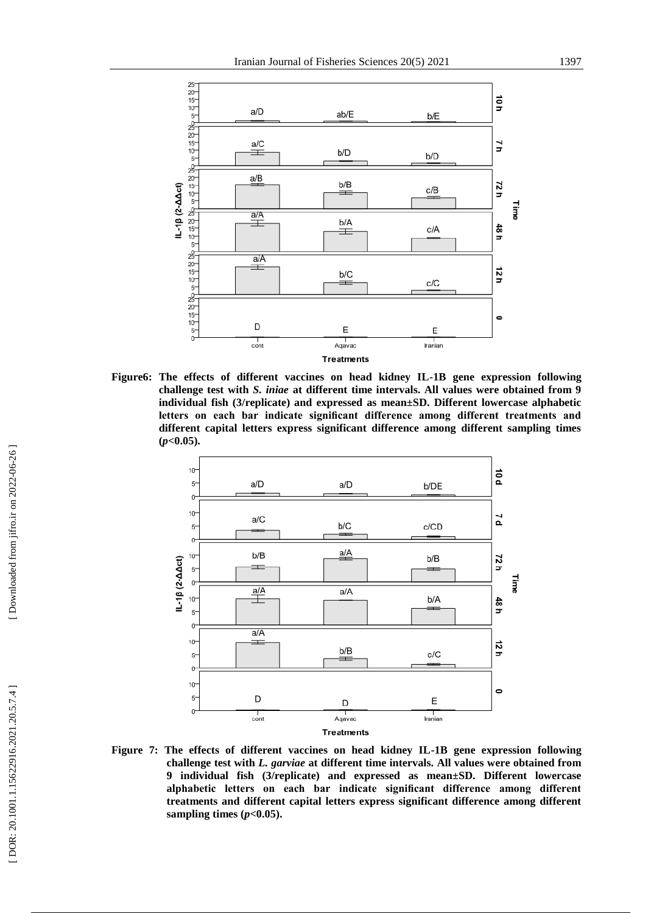

**Figure6: The effects of different vaccines on head kidney IL -1B gene expression following challenge test with** *S. iniae* **at different time intervals. All values were obtained from 9 individual fish (3/replicate) and expressed as mean±SD. Different lowercase alphabetic letters on each bar indicate significant difference among different treatments and different capital letters express significant difference among different sampling times (***p***<0.05).**



**Figure 7: The effects of different vaccines on head kidney IL -1B gene expression following challenge test with** *L. garviae* **at different time intervals. All values were obtained from 9 individual fish (3/replicate) and expressed as mean±SD. Different lowercase alphabetic letters on each bar indicate significant difference among different treatments and different capital letters express significant difference among different**  sampling times  $(p<0.05)$ .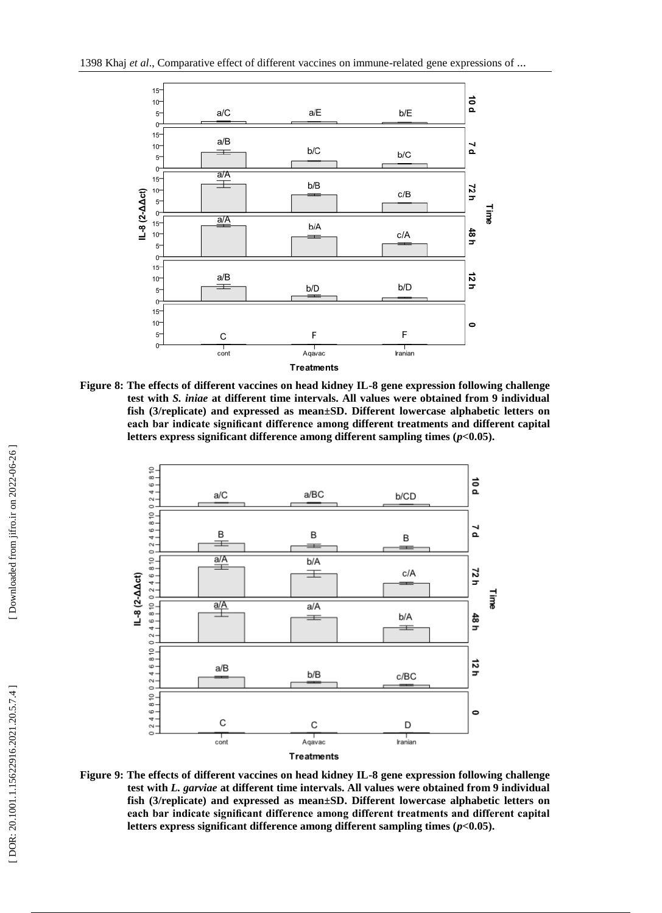

**Figure 8: The effects of different vaccines on head kidney IL -8 gene expression following challenge test with** *S. iniae* **at different time intervals. All values were obtained from 9 individual fish (3/replicate) and expressed as mean±SD. Different lowercase alphabetic letters on each bar indicate significant difference among different treatments and different capital letters express significant difference among different sampling times (***p***<0.05).**



**Figure 9: The effects of different vaccines on head kidney IL -8 gene expression following challenge test with** *L. garviae* **at different time intervals. All values were obtained from 9 individual fish (3/replicate) and expressed as mean±SD. Different lowercase alphabetic letters on each bar indicate significant difference among different treatments and different capital letters express significant difference among different sampling times (***p***<0.05).**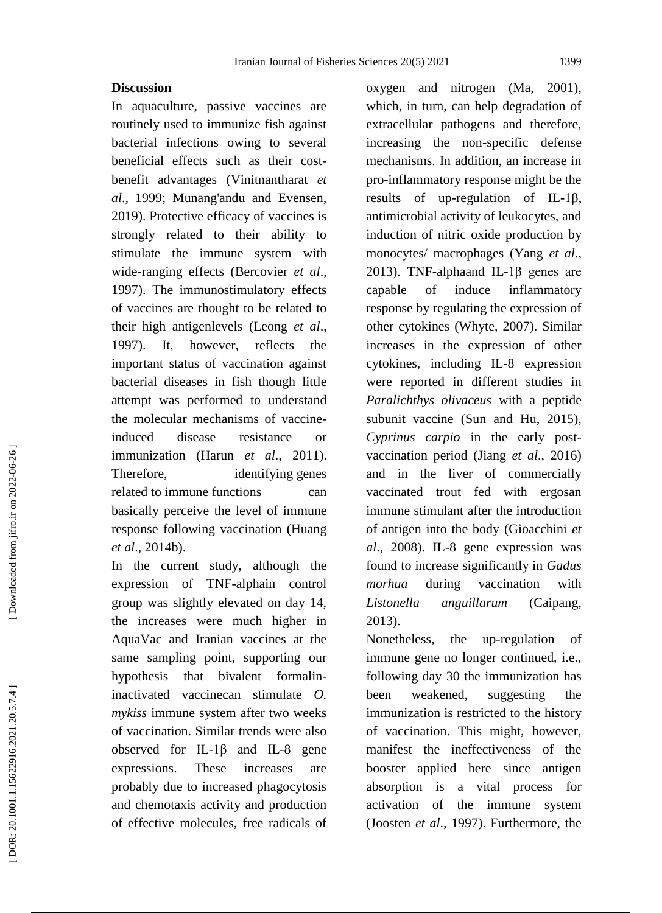#### Iranian Journal of Fisheries Sciences 20(5) 2021 1399

### **Discussion**

In aquaculture, passive vaccines are routinely used to immunize fish against bacterial infections owing to several beneficial effects such as their cost benefit advantages (Vinitnantharat *et al*., 1999; Munang'andu and Evensen, 2019). Protective efficacy of vaccines is strongly related to their ability to stimulate the immune system with wide -ranging effects (Bercovier *et al*., 1997). The immunostimulatory effects of vaccines are thought to be related to their high antigenlevels (Leong *et al*., 1997). It, however, reflects the important status of vaccination against bacterial diseases in fish though little attempt was performed to understand the molecular mechanisms of vaccine induced disease resistance or immunization (Harun *et al*., 2011). Therefore, identifying genes related to immune functions can basically perceive the level of immune response following vaccination (Huang *et al*., 2014b).

In the current study, although the expression of TNF -alphain control group was slightly elevated on day 14, the increases were much higher in AquaVac and Iranian vaccines at the same sampling point, supporting our hypothesis that bivalent formalin inactivated vaccinecan stimulate *O. mykiss* immune system after two weeks of vaccination. Similar trends were also observed for IL-1β and IL-8 gene expressions. These increases are probably due to increased phagocytosis and chemotaxis activity and production of effective molecules, free radicals of

oxygen and nitrogen (Ma, 2001), which, in turn, can help degradation of extracellular pathogens and therefore, increasing the non -specific defense mechanisms. In addition, an increase in pro -inflammatory response might be the results of up -regulation of IL -1β, antimicrobial activity of leukocytes, and induction of nitric oxide production by monocytes/ macrophages (Yang *et al*., 2013). TNF-alphaand IL-1β genes are capable of induce inflammatory response by regulating the expression of other cytokines (Whyte, 2007). Similar increases in the expression of other cytokines, including IL -8 expression were reported in different studies in *Paralichthys olivaceus* with a peptide subunit vaccine (Sun and Hu, 2015), *Cyprinus carpio* in the early post vaccination period (Jiang *et al*., 2016) and in the liver of commercially vaccinated trout fed with ergosan immune stimulant after the introduction of antigen into the body (Gioacchini *et al*., 2008). IL -8 gene expression was found to increase significantly in *Gadus morhua* during vaccination with *Listonella anguillarum* (Caipang, 2013).

Nonetheless, the up-regulation of immune gene no longer continued, i.e., following day 30 the immunization has been weakened, suggesting the immunization is restricted to the history of vaccination. This might, however, manifest the ineffectiveness of the booster applied here since antigen absorption is a vital process for activation of the immune system (Joosten *et al*., 1997). Furthermore, the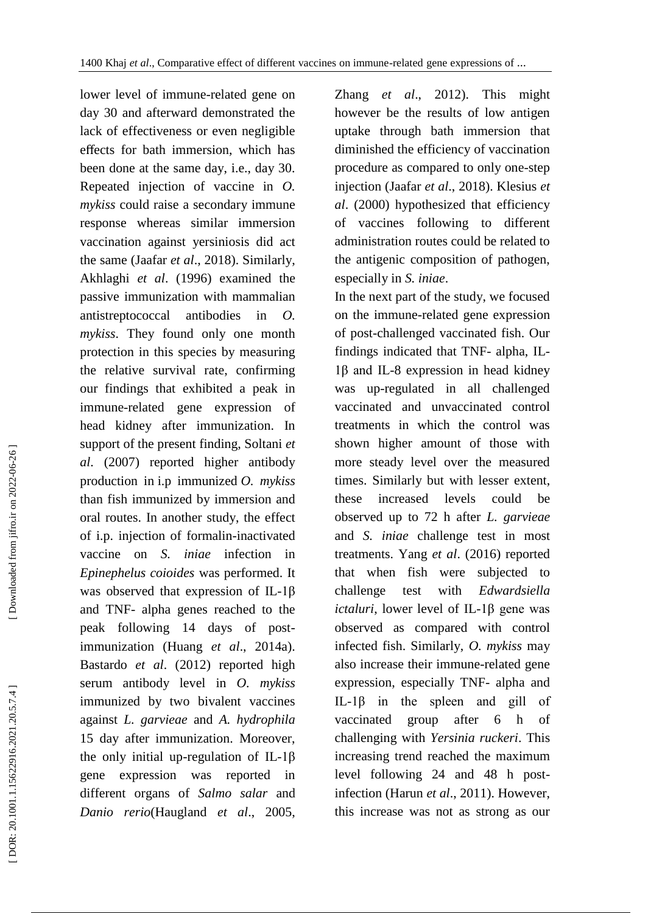lower level of immune -related gene on day 30 and afterward demonstrated the lack of effectiveness or even negligible effects for bath immersion, which has been done at the same day, i.e., day 30. Repeated injection of vaccine in *O. mykiss* could raise a secondary immune response whereas similar immersion vaccination against yersiniosis did act the same (Jaafar *et al*., 2018). Similarly, Akhlaghi *et al*. (1996) examined the passive immunization with mammalian antistreptococcal antibodies in *O. mykiss*. They found only one month protection in this species by measuring the relative survival rate, confirming our findings that exhibited a peak in immune -related gene expression of head kidney after immunization. In support of the present finding, Soltani *et al*. (2007) reported higher antibody production in i.p immunized *O. mykiss* than fish immunized by immersion and oral routes. In another study, the effect of i.p. injection of formalin -inactivated vaccine on *S. iniae* infection in *Epinephelus coioides* was performed. It was observed that expression of IL-1 $\beta$ and TNF - alpha genes reached to the peak following 14 days of post immunization (Huang *et al*., 2014a). Bastardo *et al*. (2012) reported high serum antibody level in *O. mykiss* immunized by two bivalent vaccines against *L. garvieae* and *A. hydrophila*  15 day after immunization. Moreover, the only initial up-regulation of IL-1β gene expression was reported in different organs of *Salmo salar* and *Danio rerio*(Haugland *et al*., 2005,

Zhang *et al*., 2012). This might however be the results of low antigen uptake through bath immersion that diminished the efficiency of vaccination procedure as compared to only one -step injection (Jaafar *et al*., 2018). Klesius *et al*. (2000) hypothesized that efficiency of vaccines following to different administration routes could be related to the antigenic composition of pathogen, especially in *S. iniae*.

In the next part of the study, we focused on the immune -related gene expression of post -challenged vaccinated fish. Our findings indicated that TNF- alpha, IL-1β and IL -8 expression in head kidney was up -regulated in all challenged vaccinated and unvaccinated control treatments in which the control was shown higher amount of those with more steady level over the measured times. Similarly but with lesser extent, these increased levels could be observed up to 72 h after *L. garvieae*  and *S. iniae* challenge test in most treatments. Yang *et al*. (2016) reported that when fish were subjected to challenge test with *Edwardsiella ictaluri*, lower level of IL-1β gene was observed as compared with control infected fish. Similarly, *O. mykiss* may also increase their immune -related gene expression, especially TNF - alpha and IL-1β in the spleen and gill of vaccinated group after 6 h of challenging with *Yersinia ruckeri*. This increasing trend reached the maximum level following 24 and 48 h post infection (Harun *et al*., 2011). However, this increase was not as strong as our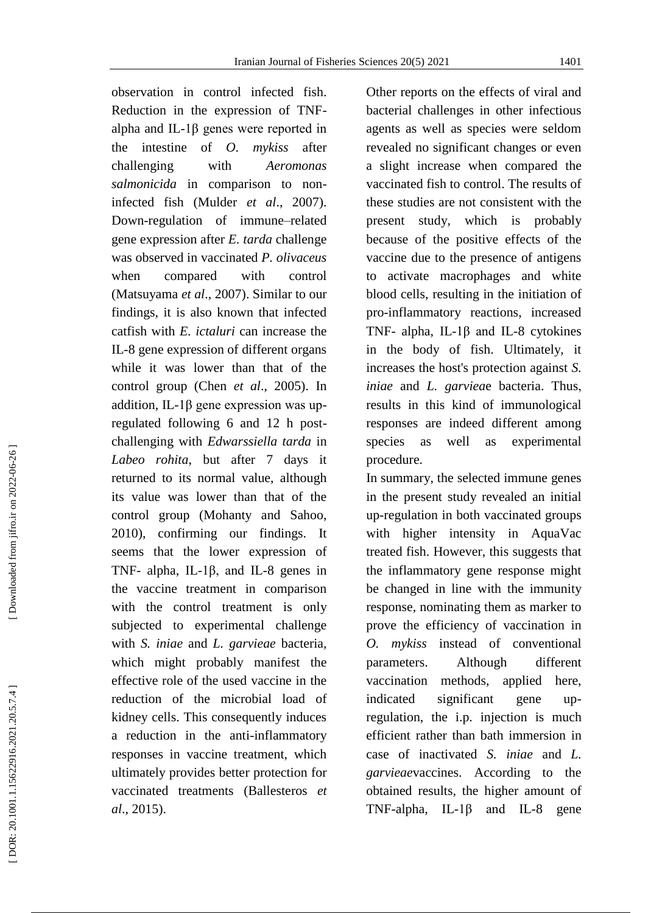observation in control infected fish. Reduction in the expression of TNF alpha and IL -1β genes were reported in the intestine of *O. mykiss* after challenging with *Aeromonas salmonicida* in comparison to non infected fish (Mulder *et al*., 2007). Down -regulation of immune –related gene expression after *E. tarda* challenge was observed in vaccinated *P. olivaceus*  when compared with control (Matsuyama *et al*., 2007). Similar to our findings, it is also known that infected catfish with *E. ictaluri* can increase the IL -8 gene expression of different organs while it was lower than that of the control group (Chen *et al*., 2005). In addition, IL-1 $\beta$  gene expression was upregulated following 6 and 12 h post challenging with *Edwarssiella tarda* in *Labeo rohita*, but after 7 days it returned to its normal value, although its value was lower than that of the control group (Mohanty and Sahoo, 2010), confirming our findings. It seems that the lower expression of TNF- alpha, IL-1 $\beta$ , and IL-8 genes in the vaccine treatment in comparison with the control treatment is only subjected to experimental challenge with *S. iniae* and *L. garvieae* bacteria, which might probably manifest the effective role of the used vaccine in the reduction of the microbial load of kidney cells. This consequently induces a reduction in the anti -inflammatory responses in vaccine treatment, which ultimately provides better protection for vaccinated treatments (Ballesteros *et al*., 2015).

Other reports on the effects of viral and bacterial challenges in other infectious agents as well as species were seldom revealed no significant changes or even a slight increase when compared the vaccinated fish to control. The results of these studies are not consistent with the present study, which is probably because of the positive effects of the vaccine due to the presence of antigens to activate macrophages and white blood cells, resulting in the initiation of pro -inflammatory reactions, increased TNF- alpha, IL-1 $\beta$  and IL-8 cytokines in the body of fish. Ultimately, it increases the host's protection against *S. iniae* and *L. garviea*e bacteria. Thus , results in this kind of immunological responses are indeed different among species as well as experimental procedure.

In summary, the selected immune genes in the present study revealed an initial up -regulation in both vaccinated groups with higher intensity in AquaVac treated fish. However, this suggests that the inflammatory gene response might be changed in line with the immunity response, nominating them as marker to prove the efficiency of vaccination in *O. mykiss* instead of conventional parameters. Although different vaccination methods, applied here, indicated significant gene upregulation, the i.p. injection is much efficient rather than bath immersion in case of inactivated *S. iniae* and *L. garvieae*vaccines. According to the obtained results, the higher amount of TNF-alpha, IL- $1\beta$  and IL-8 gene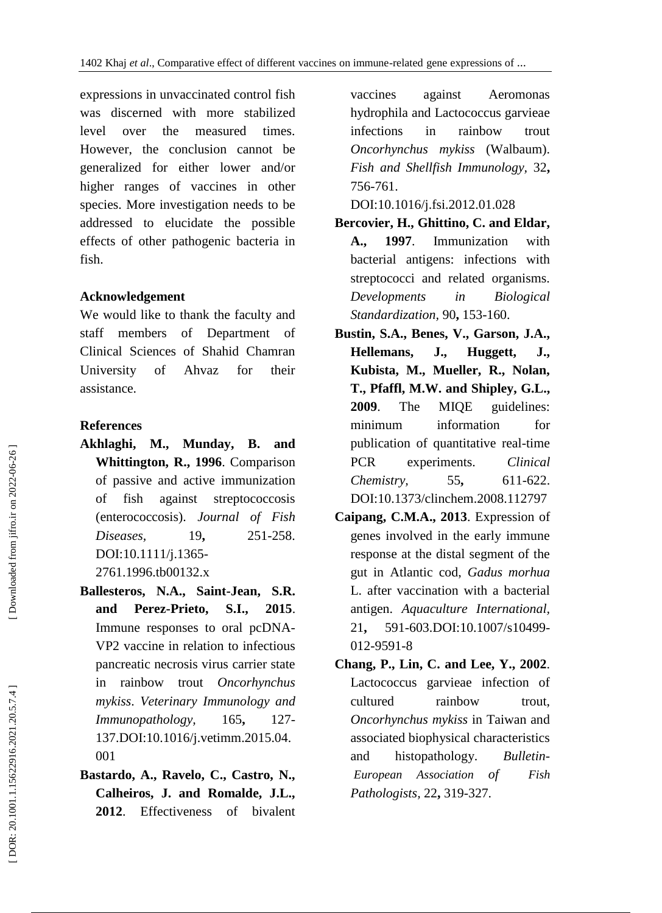expressions in unvaccinated control fish was discerned with more stabilized level over the measured times. However, the conclusion cannot be generalized for either lower and/or higher ranges of vaccines in other species. More investigation needs to be addressed to elucidate the possible effects of other pathogenic bacteria in fish.

## **Acknowledgement**

We would like to thank the faculty and staff members of Department of Clinical Sciences of Shahid Chamran University of Ahvaz for their assistance.

# **References**

- **Akhlaghi, M., Munday, B. and Whittington, R., 1996**. Comparison of passive and active immunization of fish against streptococcosis (enterococcosis). *Journal of Fish Diseases.* 19. **,** 251 -258. DOI:10.1111/j.1365 - 2761.1996.tb00132.x
- **Ballesteros, N.A., Saint -Jean, S.R. and Perez -Prieto, S.I., 2015**. Immune responses to oral pcDN A - VP2 vaccine in relation to infectious pancreatic necrosis virus carrier state in rainbow trout *Oncorhynchus mykiss*. *Veterinary Immunology and Immunopathology,* 165 **,** 127 - 137.DOI:10.1016/j.vetimm.2015.04. 001
- **Bastardo, A., Ravelo, C., Castro, N., Calheiros, J. and Romalde, J.L., 2012**. Effectiveness of bivalent

vaccines against Aeromonas hydrophila and Lactococcus garvieae infections in rainbow trout *Oncorhynchus mykiss* (Walbaum). *Fish and Shellfish Immunology,* 32 **,** 756 -761.

DOI:10.1016/j.fsi.2012.01.028

- **Bercovier, H., Ghittino, C. and Eldar, A., 1997**. Immunization with bacterial antigens: infections with streptococci and related organisms. *Developments in Biological Standardization,* 90 **,** 153 -160.
- **Bustin, S.A., Benes, V., Garson, J.A., Hellemans, J., Huggett, J., Kubista, M., Mueller, R., Nolan, T., Pfaffl, M.W. and Shipley, G.L., 2009**. The MIQE guidelines: minimum information for publication of quantitative real -time PCR experiments. *Clinical Chemistry,* 55 **,** 611 -622. DOI:10.1373/clinchem.2008.112797
- **Caipang, C.M.A., 2013**. Expression of genes involved in the early immune response at the distal segment of the gut in Atlantic cod, *Gadus morhua* L. after vaccination with a bacterial antigen. *Aquaculture International,* 21. **,** 591 -603[.DOI:10.1007/s10499](https://doi.org/10.1007/s10499-012-9591-8) - 012 [-9591](https://doi.org/10.1007/s10499-012-9591-8) - 8
- **Chang, P., Lin, C. and Lee, Y., 2002**. Lactococcus garvieae infection of cultured rainbow trout, *Oncorhynchus mykiss* in Taiwan and associated biophysical characteristics and histopathology. *- European Association of Fish Pathologists ,* 22 **,** 319 -327.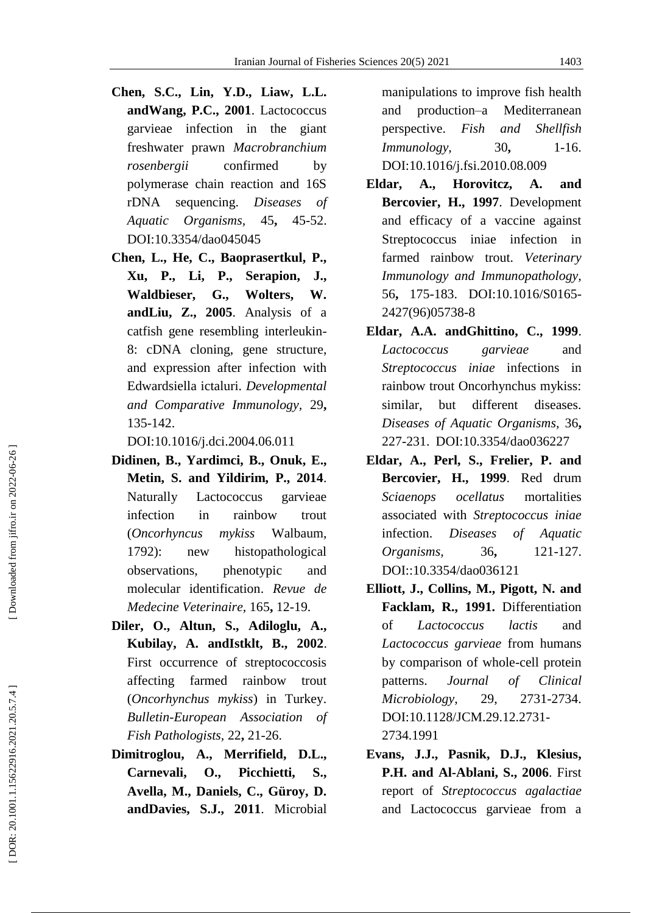- **Chen, S.C., Lin, Y.D., Liaw, L.L. andWang, P.C., 2001**. Lactococcus garvieae infection in the giant freshwater prawn *Macrobranchium rosenbergii* confirmed by polymerase chain reaction and 16S rDNA sequencing. *Diseases of Aquatic Organisms,* 45 **,** 45 -52. DOI:10.3354/dao045045
- **Chen, L., He, C., Baoprasertkul, P., Xu, P., Li, P., Serapion, J., Waldbieser, G., Wolters, W. andLiu, Z., 2005**. Analysis of a catfish gene resembling interleukin - 8: cDNA cloning, gene structure, and expression after infection with Edwardsiella ictaluri. *Developmental and Comparative Immunology,* 29 **,** 135 -142.

DOI:10.1016/j.dci.2004.06.011

- **Didinen, B., Yardimci, B., Onuk, E., Metin, S. and Yildirim, P., 2014**. Naturally Lactococcus garvieae infection in rainbow trout (*Oncorhyncus mykiss* Walbaum, 1792): new histopathological observations, phenotypic and molecular identification. *Revue de Medecine Veterinaire,* 165 **,** 12 -19.
- **Diler, O., Altun, S., Adiloglu, A., Kubilay, A. andIstklt, B., 2002**. First occurrence of streptococcosis affecting farmed rainbow trout (*Oncorhynchus mykiss*) in Turkey. *Bulletin -European Association of Fish Pathologists,* 22 **,** 21 -26.
- **Dimitroglou, A., Merrifield, D.L., Carnevali, O., Picchietti, S., Avella, M., Daniels, C., Güroy, D. andDavies, S.J., 2011**. Microbial

manipulations to improve fish health and production Mediterranean perspective. *Fish and Shellfish Immunology,* **,** 1 -16. [DOI:10.1016/j.fsi.2010.08.009](https://doi.org/10.1016/j.fsi.2010.08.009)

- **Eldar, A., Horovitcz, A. and Bercovier, H., 1997**. Development and efficacy of a vaccine against Streptococcus iniae infection in farmed rainbow trout. *Veterinary Immunology and Immunopathology,* 56 **,** 175 - 183. [DOI:10.1016/S0165](https://doi.org/10.1016/S0165-2427\(96\)05738-8) - [2427\(96\)05738](https://doi.org/10.1016/S0165-2427\(96\)05738-8) - 8
- **Eldar, A.A. andGhittino, C., 1999**. *Lactococcus garvieae* and *Streptococcus iniae* infections in rainbow trout Oncorhynchus mykiss: similar, but different diseases. *Diseases of Aquatic Organisms,* 36 **,** 227 -231. DOI:10.3354/dao036227
- **Eldar, A., Perl, S., Frelier, P. and Bercovier, H., 1999**. Red drum *Sciaenops ocellatus* mortalities associated with *Streptococcus iniae* infection. *Diseases of Aquatic Organisms,* 36 **,** 121 -127. DOI::10.3354/dao036121
- **Elliott, J., Collins, M., Pigott, N. and Facklam, R., 1991.** Differentiation of *Lactococcus lactis* and *Lactococcus garvieae* from humans by comparison of whole -cell protein patterns. *Journal of Clinical Microbiology*, 29, 2731-2734. [DOI:10.1128/JCM.29.12.2731](https://doi.org/10.1128/JCM.29.12.2731-2734.1991) - [2734.1991](https://doi.org/10.1128/JCM.29.12.2731-2734.1991)
- **Evans, J.J., Pasnik, D.J., Klesius, P.H. and Al -Ablani, S., 2006**. First report of *Streptococcus agalactiae* and Lactococcus garvieae from a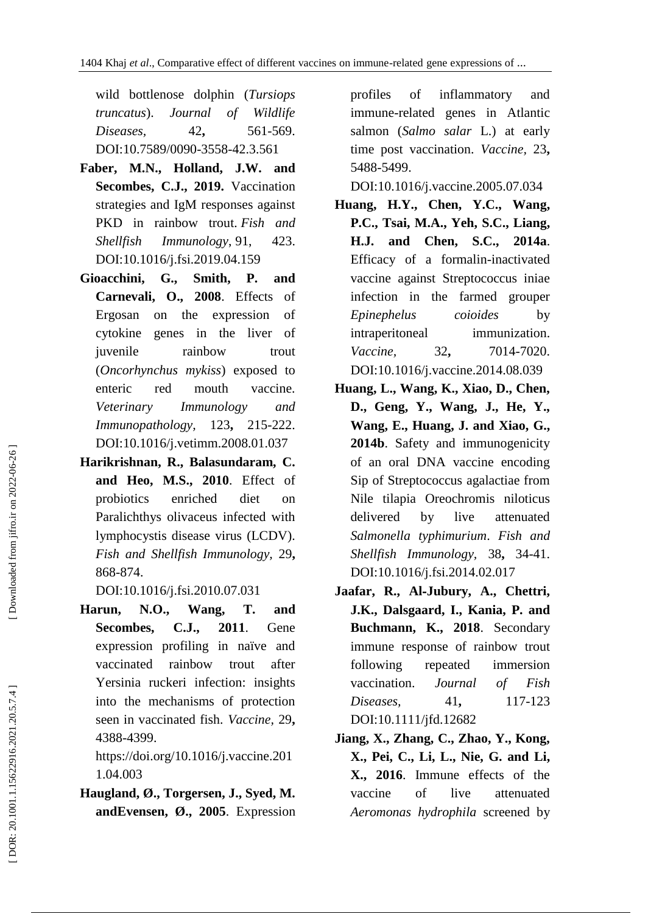wild bottlenose dolphin (*Tursiops truncatus*). *Journal of Wildlife Diseases.* 42. **,** 561 -569. [DOI:10.7589/0090](https://doi.org/10.7589/0090-3558-42.3.561) -3558 -42.3.561

- **Faber, M.N., Holland, J.W. and Secombes, C.J., 2019.** Vaccination strategies and IgM responses against PKD in rainbow trout. *Fish and Shellfish Immunology* , 91, 423. DOI:10.1016/j.fsi.2019.04.159
- Gioacchini, G., Smith, P. **d Carnevali, O., 2008**. Effects of Ergosan on the expression of cytokine genes in the liver of juvenile rainbow trout (*Oncorhynchus mykiss*) exposed to enteric red mouth vaccine. *Veterinary Immunology and Immunopathology,* 123 **,** 215 -222. [DOI:10.1016/j.vetimm.2008.01.037](https://doi.org/10.1016/j.vetimm.2008.01.037)
- **Harikrishnan, R., Balasundaram, C. an d Heo, M.S., 2010**. Effect of probiotics enriched diet on Paralichthys olivaceus infected with lymphocystis disease virus (LCDV). *Fish and Shellfish Immunology,* 29 **,** 868 -874.

[DOI:10.1016/j.fsi.2010.07.031](https://doi.org/10.1016/j.fsi.2010.07.031)

**Harun, N.O., Wang, T. and Secombes, C.J., 201 1**. Gene expression profiling in naïve and vaccinated rainbow trout after Yersinia ruckeri infection: insights into the mechanisms of protection seen in vaccinated fish. *Vaccine,* 29 **,** 4388 -4399.

[https://doi.org/10.1016/j.vaccine.201](https://doi.org/10.1016/j.vaccine.2011.04.003) [1.04.003](https://doi.org/10.1016/j.vaccine.2011.04.003)

**Haugland, Ø., Torgersen, J., Syed, M. andEvensen, Ø., 2005**. Expression profiles of inflammatory and immune -related genes in Atlantic salmon (*Salmo salar* L.) at early time post vaccination. *Vaccine,* 23 **,** 5488 -5499.

[DOI:10.1016/j.vaccine.2005.07.034](https://doi.org/10.1016/j.vaccine.2005.07.034)

- **Huang, H.Y., Chen, Y.C., Wang, P.C., Tsai, M.A., Yeh, S.C., Liang, H.J. and Chen, S.C., 2014a**. Efficacy of a formalin -inactivated vaccine against Streptococcus iniae infection in the farmed grouper *Epinephelus coioides* by intraperitoneal immunization. *Vaccine,* 32 **,** 7014 -7020. [DOI:10.1016/j.vaccine.2014.08.039](https://doi.org/10.1016/j.vaccine.2014.08.039)
- **Huang, L., Wang, K., Xiao, D., Chen, D., Geng, Y., Wang, J., He, Y., Wang, E., Huang, J. and Xiao, G., 2014b**. Safety and immunogenicity of an oral DNA vaccine encoding Sip of Streptococcus agalactiae from Nile tilapia Oreochromis niloticus delivered by live attenuated *Salmonella typhimurium*. *Fish and Shellfish Immunology,* 38 **,** 34 -41. [DOI:10.1016/j.fsi.2014.02.017](https://doi.org/10.1016/j.fsi.2014.02.017)
- **Jaafar, R., Al** ‐**Jubury, A., Chettri, J.K., Dalsgaard, I., Kania, P. and Buchmann, K., 2018**. Secondary immune response of rainbow trout following repeated immersion vaccination. *Journal of Fish Diseases,* 41, **,** 117 -123 [DOI:10.1111/jfd.12682](https://doi.org/10.1111/jfd.12682)
- **Jiang, X., Zhang, C., Zhao, Y., Kong, X., Pei, C., Li, L., Nie, G. and Li, X., 2016**. Immune effects of the vaccine of live attenuated *Aeromonas hydrophila* screened by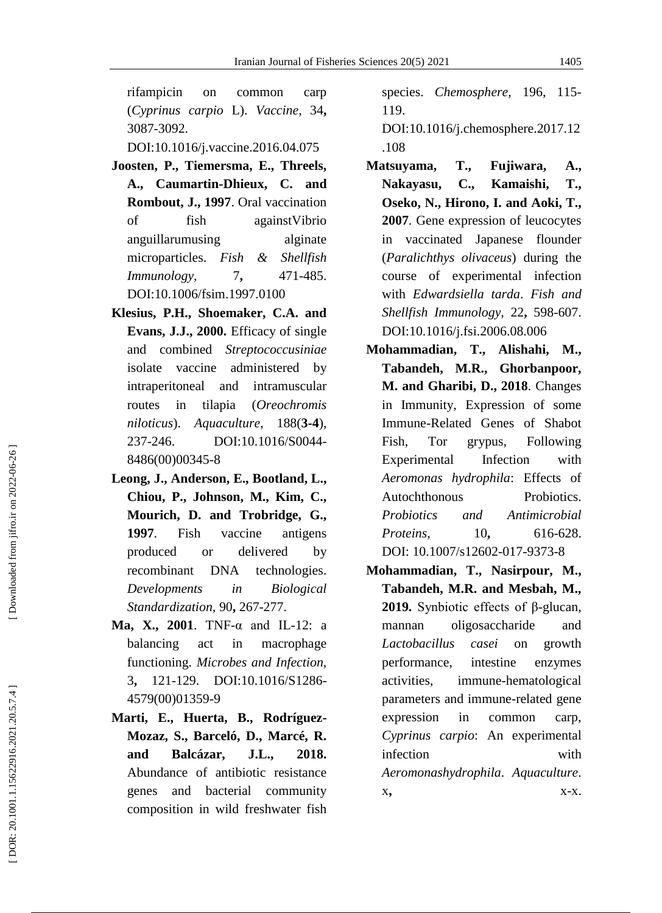rifampicin on common carp (*Cyprinus carpio* L). *Vaccine,* <sup>34</sup>**,** 3087 -3092.

[DOI:10.1016/j.vaccine.2016.04.075](https://doi.org/10.1016/j.vaccine.2016.04.075)

- **Joosten, P., Tiemersma, E., Threels, A., Caumartin -Dhieux, C. and Rombout, J., 1997**. Oral vaccination of fish againstVibrio anguillarumusing alginate microparticles. *Fish & Shellfish Immunology,* 7 **,** 471 -485. [DOI:10.1006/fsim.1997.0100](https://doi.org/10.1006/fsim.1997.0100)
- **Klesius, P.H., Shoemaker, C.A. and Evans, J.J., 2000.** Efficacy of single and combined *Streptococcusiniae* isolate vaccine administered by intraperitoneal and intramuscular routes in tilapia (*Oreochromis niloticus*). *Aquaculture*, **3 - 4**), 237-246. -246. [DOI:10.1016/S0044](https://doi.org/10.1016/S0044-8486\(00\)00345-8) - [8486\(00\)00345](https://doi.org/10.1016/S0044-8486\(00\)00345-8) - 8
- **Leong, J., Anderson, E., Bootland, L., Chiou, P., Johnson, M., Kim, C., Mourich, D. and Trobridge, G., 1997**. Fish vaccine antigens produced or delivered by recombinant DNA technologies. *Developments in Biological Standardization,* 90 **,** 267 -277.
- Ma, X., 2001. TNF- $\alpha$  and IL-12: a balancing act in macrophage functioning. *Microbes and Infection,* 3**,** 121-129. [DOI:10.1016/S1286-](https://doi.org/10.1016/S1286-4579\(00\)01359-9) [4579\(00\)01359](https://doi.org/10.1016/S1286-4579\(00\)01359-9) - 9
- **Marti, E., Huerta, B., Rodríguez - Mozaz, S., Barceló, D., Marcé, R. and Balcázar, J.L., 2018.**  Abundance of antibiotic resistance genes and bacterial community composition in wild freshwater fish

species. *Chemosphere*, 196, 115 - 119.

[DOI:10.1016/j.chemosphere.2017.12](https://doi.org/10.1016/j.chemosphere.2017.12.108) [.108](https://doi.org/10.1016/j.chemosphere.2017.12.108)

- **Matsuyama, T., Fujiwara, A., Nakayasu, C., Kamaishi, T., Oseko, N., Hirono, I. and Aoki, T., 2007**. Gene expression of leucocytes in vaccinated Japanese flounder (*Paralichthys olivaceus*) during the course of experimental infection with *Edwardsiella tarda*. *Fish and Shellfish Immunology,* 22 **,** 598 -607. [DOI:10.1016/j.fsi.2006.08.006](https://doi.org/10.1016/j.fsi.2006.08.006)
- **Mohammadian, T., Alishahi, M., Tabandeh, M.R., Ghorbanpoor, M. and Gharibi, D., 2018**. Changes in Immunity, Expression of some Immune -Related Genes of Shabot Fish, Tor grypus, Following Experimental Infection with *Aeromonas hydrophila*: Effects of Autochthonous Probiotics. *Probiotics and Antimicrobial Proteins,* 10, **,** 616 -628. DOI: [10.1007/s12602](http://dx.doi.org/10.1007/s12602-017-9373-8)-017-9373-8
- **Mohammadian, T., Nasirpour, M., Tabandeh, M.R. and Mesbah, M., 2019.** Synbiotic effects of β -glucan, mannan oligosaccharide and *Lactobacillus casei* on growth performance, intestine enzymes activities, immune -hematological parameters and immune -related gene expression in common carp, *Cyprinus carpio*: An experimental infection with *Aeromonashydrophila*. *Aquaculture* . x **,** x -x.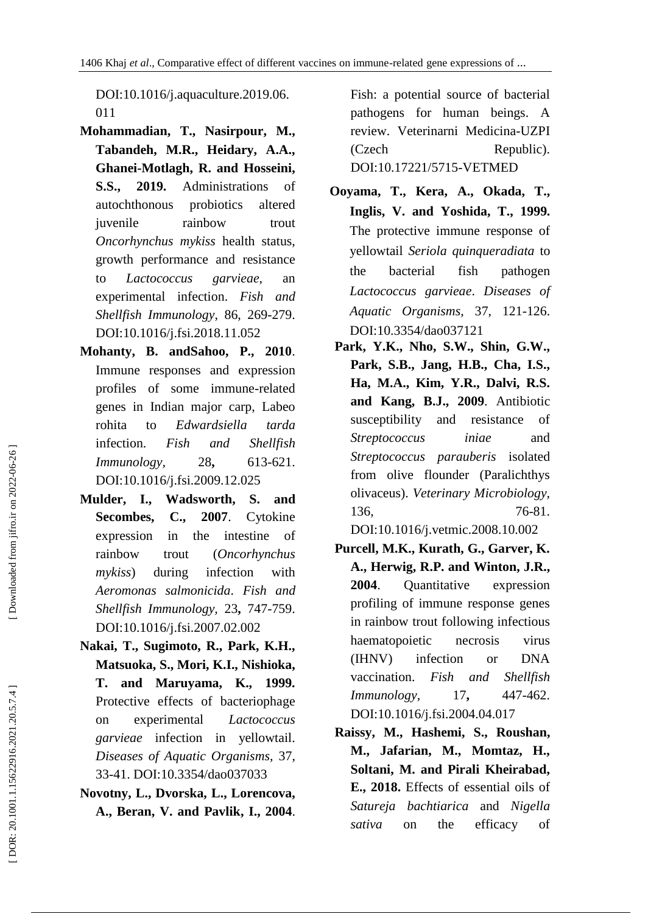[DOI:10.1016/j.aquaculture.2019.06.](https://doi.org/10.1016/j.aquaculture.2019.06.011) [011](https://doi.org/10.1016/j.aquaculture.2019.06.011)

- **Mohammadian, T., Nasirpour, M., Tabandeh, M.R., Heidary, A.A., Ghanei -Motlagh, R. and Hosseini, S.S., 2019.** Administrations of autochthonous probiotics altered juvenile rainbow trout *Oncorhynchus mykiss* health status, growth performance and resistance to *Lactococcus garvieae*, an experimental infection. *Fish and Shellfish Immunology*, 86, 269 -279. [DOI:10.1016/j.fsi.2018.11.052](https://doi.org/10.1016/j.fsi.2018.11.052)
- **Mohanty, B. andSahoo, P., 2010**. Immune responses and expression profiles of some immune -related genes in Indian major carp, Labeo rohita to *Edwardsiella tarda* infection. *Fish and Shellfish Immunology,* 28 **,** 613 -621. [DOI:10.1016/j.fsi.2009.12.025](https://doi.org/10.1016/j.fsi.2009.12.025)
- **Mulder, I., Wadsworth, S. and Secombes, C., 2007**. Cytokine expression in the intestine of rainbow trout (*Oncorhynchus mykiss*) during infection with *Aeromonas salmonicida*. *Fish and Shellfish Immunology,* 23 **,** 747 -759. [DOI:10.1016/j.fsi.2007.02.002](https://doi.org/10.1016/j.fsi.2007.02.002)
- **Nakai, T., Sugimoto, R., Park, K.H., Matsuoka, S., Mori, K.I., Nishioka, T. and Maruyama, K., 1999.** Protective effects of bacteriophage on experimental *Lactococcus garvieae* infection in yellowtail. *Diseases of Aquatic Organisms,* 37, 33 -41. DOI:10.3354/dao037033
- **Novotny, L., Dvorska, L., Lorencova, A., Beran, V. and Pavlik, I., 2004**.

Fish: a potential source of bacterial pathogens for human beings. A review. Veterinarni Medicina -UZPI (Czech Republic). DOI:10.17221/5715 -VETMED

- **Ooyama, T., Kera, A., Okada, T., Inglis, V. and Yoshida, T., 1999.**  The protective immune response of yellowtail *Seriola quinqueradiata* to the bacterial fish pathogen *Lactococcus garvieae*. *Diseases of Aquatic Organisms*, 37, 121 -126. DOI:10.3354/dao037121
- **Park, Y.K., Nho, S.W., Shin, G.W., Park, S.B., Jang, H.B., Cha, I.S., Ha, M.A., Kim, Y.R., Dalvi, R.S. and Kang, B.J., 2009**. Antibiotic susceptibility and resistance of *Streptococcus iniae* and *Streptococcus parauberis* isolated from olive flounder (Paralichthys olivaceus). *Veterinary Microbiology,* 136. 76-81. [DOI:10.1016/j.vetmic.2008.10.002](https://doi.org/10.1016/j.vetmic.2008.10.002)
- **Purcell, M.K., Kurath, G., Garver, K. A., Herwig, R.P. and Winton, J.R., 2004**. Quantitative expression profiling of immune response genes in rainbow trout following infectious haematopoietic necrosis virus (IHNV) infection or DNA vaccination. *Fish and Shellfish Immunology,* 17, **,** 447 -462. [DOI:10.1016/j.fsi.2004.04.017](https://doi.org/10.1016/j.fsi.2004.04.017)
- **Raissy, M., Hashemi, S., Roushan, M., Jafarian, M., Momtaz, H., Soltani, M. and Pirali Kheirabad, E., 2018.** Effects of essential oils of *Satureja bachtiarica* and *Nigella sativa* on the efficacy of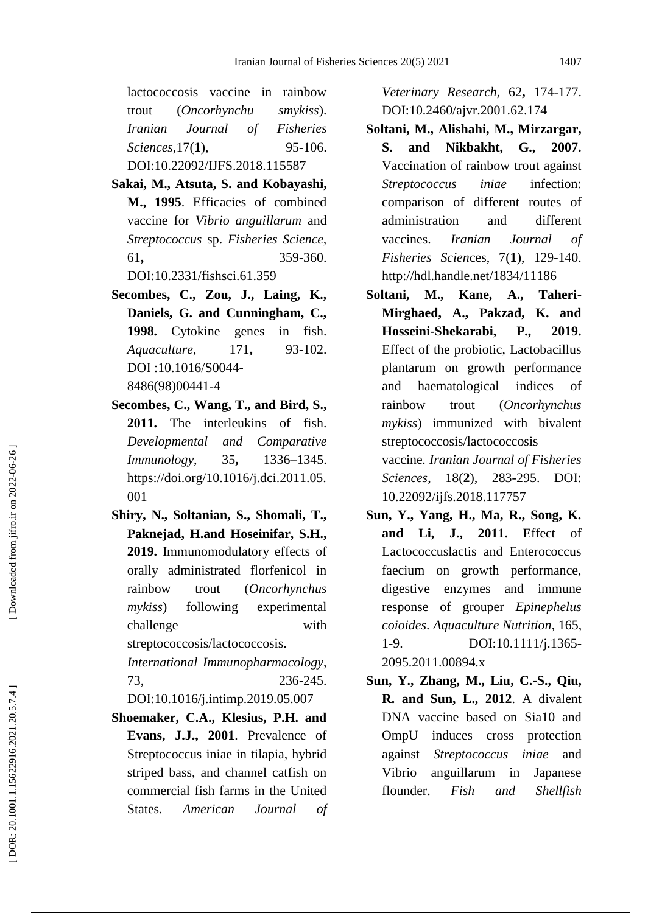lactococcosis vaccine in rainbow trout (*Oncorhynchu smykiss*). *Iranian Journal of Fisheries Sciences,*17( **1**), 95 95-106. DOI:10.22092/IJFS.2018.115587

- **Sakai, M., Atsuta, S. and Kobayashi, M., 1995**. Efficacies of combined vaccine for *Vibrio anguillarum* and *Streptococcus* sp. *Fisheries Science,* 61 **,** 359 -360. [DOI:10.2331/fishsci.61.359](https://doi.org/10.2331/fishsci.61.359)
- **Secombes, C., Zou, J., Laing, K., Daniels, G. and Cunningham, C., 1998.** Cytokine genes in fish. *Aquaculture*, 171 **,** 93 -102. DOI :10.1016/S0044 - 8486(98)00441 - 4
- **Secombes, C., Wang, T., and Bird, S., 2011.** The interleukins of fish. *Developmental and Comparative Immunology*, 35 **,** 1336 –1345. [https://doi.org/10.1016/j.dci.2011.05.](https://doi.org/10.1016/j.dci.2011.05.001) [001](https://doi.org/10.1016/j.dci.2011.05.001)
- **Shiry, N., Soltanian, S., Shomali, T., Paknejad, H.and Hoseinifar, S.H., 2019.** Immunomodulatory effects of orally administrated florfenicol in rainbow trout (*Oncorhynchus mykiss*) following experimental challenge with streptococcosis/lactococcosis.

*International Immunopharmacology*, 73, 236 236-245.

[DOI:10.1016/j.intimp.2019.05.007](https://doi.org/10.1016/j.intimp.2019.05.007)

**Shoemaker, C.A., Klesius, P.H. and Evans, J.J., 2001**. Prevalence of Streptococcus iniae in tilapia, hybrid striped bass, and channel catfish on commercial fish farms in the United States. *American Journal of*  *Veterinary Research,* 62 **,** 174 -177. [DOI:10.2460/ajvr.2001.62.174](https://doi.org/10.2460/ajvr.2001.62.174)

- **Soltani, M . , Alishahi, M., Mirzargar, S. and Nikbakht, G., 2007.**  Vaccination of rainbow trout against *Streptococcus iniae* infection: comparison of different routes of administration and different vaccines. *Iranian Journal of Fisheries Scien*ces, 7( **1**), 129 -140. <http://hdl.handle.net/1834/11186>
- Soltani, M., Kane, A., **- Mirghaed, A., Pakzad, K. and Hosseini -Shekarabi, P., 2019.**  Effect of the probiotic, Lactobacillus plantarum on growth performance and haematological indices of rainbow trout (*Oncorhynchus mykiss*) immunized with bivalent streptococcosis/lactococcosis vaccine*. Iranian Journal of Fisheries Sciences*, 18( **2**), 283 -295. DOI: 10.22092/ijfs.2018.117757
- **Sun, Y., Yang, H., Ma, R., Song, K. and Li, J., 2011.** Effect of Lactococcuslactis and Enterococcus faecium on growth performance, digestive enzymes and immune response of grouper *Epinephelus coioides*. *Aquaculture Nutrition*, 165, 1-9. [DOI:10.1111/j.1365-](https://doi.org/10.1111/j.1365-2095.2011.00894.x) [2095.2011.00894.x](https://doi.org/10.1111/j.1365-2095.2011.00894.x)
- **Sun, Y., Zhang, M., Liu, C. -S., Qiu, R. and Sun, L., 2012**. A divalent DNA vaccine based on Sia10 and OmpU induces cross protection against *Streptococcus iniae* and Vibrio anguillarum in Japanese flounder. *Fish and Shellfish*